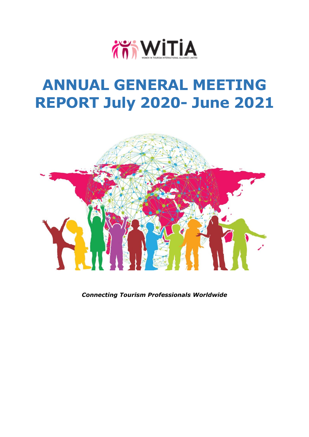

## **ANNUAL GENERAL MEETING REPORT July 2020- June 2021**



*Connecting Tourism Professionals Worldwide*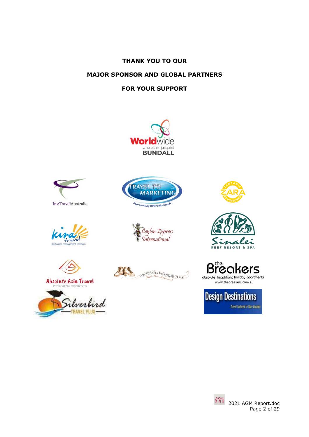## **THANK YOU TO OUR**

## **MAJOR SPONSOR AND GLOBAL PARTNERS**

## **FOR YOUR SUPPORT**























the ers B absolute beachfront holiday apartments

www.thebreakers.com.au



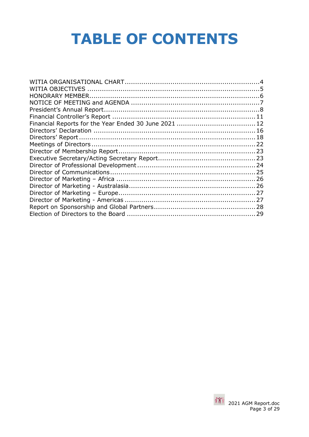# **TABLE OF CONTENTS**

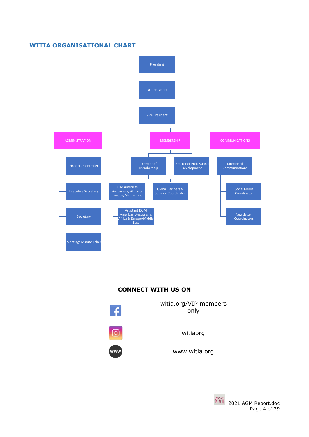#### <span id="page-3-0"></span>**WITIA ORGANISATIONAL CHART**



## **CONNECT WITH US ON**



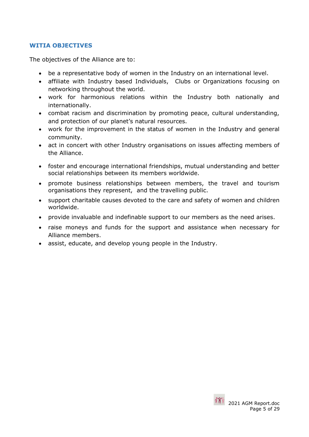## <span id="page-4-0"></span>**WITIA OBJECTIVES**

The objectives of the Alliance are to:

- be a representative body of women in the Industry on an international level.
- affiliate with Industry based Individuals, Clubs or Organizations focusing on networking throughout the world.
- work for harmonious relations within the Industry both nationally and internationally.
- combat racism and discrimination by promoting peace, cultural understanding, and protection of our planet's natural resources.
- work for the improvement in the status of women in the Industry and general community.
- act in concert with other Industry organisations on issues affecting members of the Alliance.
- foster and encourage international friendships, mutual understanding and better social relationships between its members worldwide.
- promote business relationships between members, the travel and tourism organisations they represent, and the travelling public.
- support charitable causes devoted to the care and safety of women and children worldwide.
- provide invaluable and indefinable support to our members as the need arises.
- raise moneys and funds for the support and assistance when necessary for Alliance members.
- assist, educate, and develop young people in the Industry.

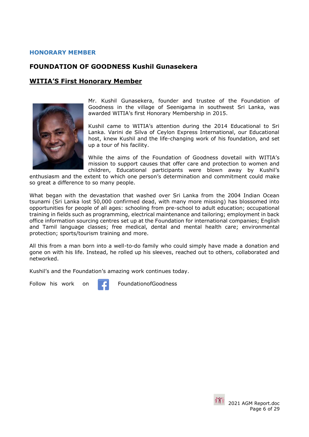## <span id="page-5-0"></span>**HONORARY MEMBER**

## **FOUNDATION OF GOODNESS Kushil Gunasekera**

## **WITIA'S First Honorary Member**



Mr. Kushil Gunasekera, founder and trustee of the Foundation of Goodness in the village of Seenigama in southwest Sri Lanka, was awarded WITIA's first Honorary Membership in 2015.

Kushil came to WITIA's attention during the 2014 Educational to Sri Lanka. Varini de Silva of Ceylon Express International, our Educational host, knew Kushil and the life-changing work of his foundation, and set up a tour of his facility.

While the aims of the Foundation of Goodness dovetail with WITIA's mission to support causes that offer care and protection to women and children, Educational participants were blown away by Kushil's

enthusiasm and the extent to which one person's determination and commitment could make so great a difference to so many people.

What began with the devastation that washed over Sri Lanka from the 2004 Indian Ocean tsunami (Sri Lanka lost 50,000 confirmed dead, with many more missing) has blossomed into opportunities for people of all ages: schooling from pre-school to adult education; occupational training in fields such as programming, electrical maintenance and tailoring; employment in back office information sourcing centres set up at the Foundation for international companies; English and Tamil language classes; free medical, dental and mental health care; environmental protection; sports/tourism training and more.

All this from a man born into a well-to-do family who could simply have made a donation and gone on with his life. Instead, he rolled up his sleeves, reached out to others, collaborated and networked.

Kushil's and the Foundation's amazing work continues today.

Follow his work on **FoundationofGoodness** 



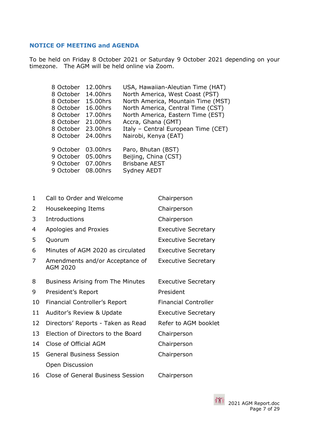## <span id="page-6-0"></span>**NOTICE OF MEETING and AGENDA**

To be held on Friday 8 October 2021 or Saturday 9 October 2021 depending on your timezone. The AGM will be held online via Zoom.

| 12.00hrs              | USA, Hawaiian-Aleutian Time (HAT)   |
|-----------------------|-------------------------------------|
| 14.00hrs              | North America, West Coast (PST)     |
| 15.00hrs              | North America, Mountain Time (MST)  |
| 16.00hrs              | North America, Central Time (CST)   |
| 17.00hrs              | North America, Eastern Time (EST)   |
| 8 October 21,00hrs    | Accra, Ghana (GMT)                  |
| 23.00hrs              | Italy - Central European Time (CET) |
| 8 October<br>24.00hrs | Nairobi, Kenya (EAT)                |
|                       |                                     |
| 9 October 03.00hrs    | Paro, Bhutan (BST)                  |
| 9 October 05.00hrs    | Beijing, China (CST)                |
| 07.00hrs              | <b>Brisbane AEST</b>                |
| 08.00hrs              | Sydney AEDT                         |
|                       |                                     |

| 1  | Call to Order and Welcome<br>Chairperson           |                             |
|----|----------------------------------------------------|-----------------------------|
| 2  | Housekeeping Items                                 | Chairperson                 |
| 3  | Introductions                                      | Chairperson                 |
| 4  | Apologies and Proxies                              | <b>Executive Secretary</b>  |
| 5  | Quorum                                             | <b>Executive Secretary</b>  |
| 6  | Minutes of AGM 2020 as circulated                  | <b>Executive Secretary</b>  |
| 7  | Amendments and/or Acceptance of<br><b>AGM 2020</b> | <b>Executive Secretary</b>  |
| 8  | <b>Business Arising from The Minutes</b>           | <b>Executive Secretary</b>  |
| 9  | President's Report                                 | President                   |
| 10 | Financial Controller's Report                      | <b>Financial Controller</b> |
| 11 | Auditor's Review & Update                          | <b>Executive Secretary</b>  |
| 12 | Directors' Reports - Taken as Read                 | Refer to AGM booklet        |
| 13 | Election of Directors to the Board                 | Chairperson                 |
| 14 | Close of Official AGM                              | Chairperson                 |
| 15 | <b>General Business Session</b>                    | Chairperson                 |
|    | Open Discussion                                    |                             |
| 16 | <b>Close of General Business Session</b>           | Chairperson                 |

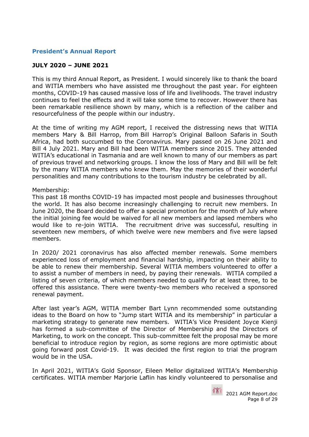## <span id="page-7-0"></span>**President's Annual Report**

## **JULY 2020 – JUNE 2021**

This is my third Annual Report, as President. I would sincerely like to thank the board and WITIA members who have assisted me throughout the past year. For eighteen months, COVID-19 has caused massive loss of life and livelihoods. The travel industry continues to feel the effects and it will take some time to recover. However there has been remarkable resilience shown by many, which is a reflection of the caliber and resourcefulness of the people within our industry.

At the time of writing my AGM report, I received the distressing news that WITIA members Mary & Bill Harrop, from Bill Harrop's Original Balloon Safaris in South Africa, had both succumbed to the Coronavirus. Mary passed on 26 June 2021 and Bill 4 July 2021. Mary and Bill had been WITIA members since 2015. They attended WITIA's educational in Tasmania and are well known to many of our members as part of previous travel and networking groups. I know the loss of Mary and Bill will be felt by the many WITIA members who knew them. May the memories of their wonderful personalities and many contributions to the tourism industry be celebrated by all.

#### Membership:

This past 18 months COVID-19 has impacted most people and businesses throughout the world. It has also become increasingly challenging to recruit new members. In June 2020, the Board decided to offer a special promotion for the month of July where the initial joining fee would be waived for all new members and lapsed members who would like to re-join WITIA. The recruitment drive was successful, resulting in seventeen new members, of which twelve were new members and five were lapsed members.

In 2020/ 2021 coronavirus has also affected member renewals. Some members experienced loss of employment and financial hardship, impacting on their ability to be able to renew their membership. Several WITIA members volunteered to offer a to assist a number of members in need, by paying their renewals. WITIA compiled a listing of seven criteria, of which members needed to qualify for at least three, to be offered this assistance. There were twenty-two members who received a sponsored renewal payment.

After last year's AGM, WITIA member Bart Lynn recommended some outstanding ideas to the Board on how to "Jump start WITIA and its membership" in particular a marketing strategy to generate new members. WITIA's Vice President Joyce Kienji has formed a sub-committee of the Director of Membership and the Directors of Marketing, to work on the concept. This sub-committee felt the proposal may be more beneficial to introduce region by region, as some regions are more optimistic about going forward post Covid-19. It was decided the first region to trial the program would be in the USA.

In April 2021, WITIA's Gold Sponsor, Eileen Mellor digitalized WITIA's Membership certificates. WITIA member Marjorie Laflin has kindly volunteered to personalise and

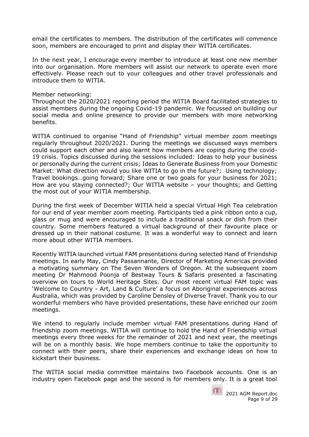email the certificates to members. The distribution of the certificates will commence soon, members are encouraged to print and display their WITIA certificates.

In the next year, I encourage every member to introduce at least one new member into our organisation. More members will assist our network to operate even more effectively. Please reach out to your colleagues and other travel professionals and introduce them to WITIA.

#### Member networking:

Throughout the 2020/2021 reporting period the WITIA Board facilitated strategies to assist members during the ongoing Covid-19 pandemic. We focussed on building our social media and online presence to provide our members with more networking benefits.

WITIA continued to organise "Hand of Friendship" virtual member zoom meetings regularly throughout 2020/2021. During the meetings we discussed ways members could support each other and also learnt how members are coping during the covid-19 crisis. Topics discussed during the sessions included: Ideas to help your business or personally during the current crisis; Ideas to Generate Business from your Domestic Market: What direction would you like WITIA to go in the future?; Using technology; Travel bookings…going forward; Share one or two goals for your business for 2021; How are you staying connected?; Our WITIA website – your thoughts; and Getting the most out of your WITIA membership.

During the first week of December WITIA held a special Virtual High Tea celebration for our end of year member zoom meeting. Participants tied a pink ribbon onto a cup, glass or mug and were encouraged to include a traditional snack or dish from their country. Some members featured a virtual background of their favourite place or dressed up in their national costume. It was a wonderful way to connect and learn more about other WITIA members.

Recently WITIA launched virtual FAM presentations during selected Hand of Friendship meetings. In early May, Cindy Passannante, Director of Marketing Americas provided a motivating summary on The Seven Wonders of Oregon. At the subsequent zoom meeting Dr Mahmood Poonja of Bestway Tours & Safaris presented a fascinating overview on tours to World Heritage Sites. Our most recent virtual FAM topic was 'Welcome to Country - Art, Land & Culture' a focus on Aboriginal experiences across Australia, which was provided by Caroline Densley of Diverse Travel. Thank you to our wonderful members who have provided presentations, these have enriched our zoom meetings.

We intend to regularly include member virtual FAM presentations during Hand of friendship zoom meetings. WITIA will continue to hold the Hand of Friendship virtual meetings every three weeks for the remainder of 2021 and next year, the meetings will be on a monthly basis. We hope members continue to take the opportunity to connect with their peers, share their experiences and exchange ideas on how to kickstart their business.

The WITIA social media committee maintains two Facebook accounts. One is an industry open Facebook page and the second is for members only. It is a great tool

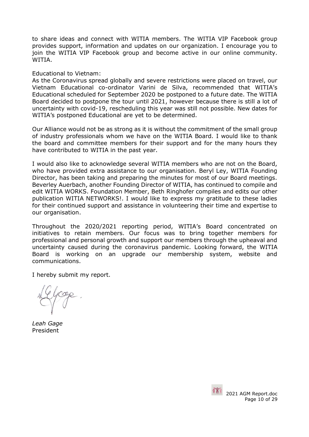to share ideas and connect with WITIA members. The WITIA VIP Facebook group provides support, information and updates on our organization. I encourage you to join the WITIA VIP Facebook group and become active in our online community. WITIA.

## Educational to Vietnam:

As the Coronavirus spread globally and severe restrictions were placed on travel, our Vietnam Educational co-ordinator Varini de Silva, recommended that WITIA's Educational scheduled for September 2020 be postponed to a future date. The WITIA Board decided to postpone the tour until 2021, however because there is still a lot of uncertainty with covid-19, rescheduling this year was still not possible. New dates for WITIA's postponed Educational are yet to be determined.

Our Alliance would not be as strong as it is without the commitment of the small group of industry professionals whom we have on the WITIA Board. I would like to thank the board and committee members for their support and for the many hours they have contributed to WITIA in the past year.

I would also like to acknowledge several WITIA members who are not on the Board, who have provided extra assistance to our organisation. Beryl Ley, WITIA Founding Director, has been taking and preparing the minutes for most of our Board meetings. Beverley Auerbach, another Founding Director of WITIA, has continued to compile and edit WITIA WORKS. Foundation Member, Beth Ringhofer compiles and edits our other publication WITIA NETWORKS!. I would like to express my gratitude to these ladies for their continued support and assistance in volunteering their time and expertise to our organisation.

Throughout the 2020/2021 reporting period, WITIA's Board concentrated on initiatives to retain members. Our focus was to bring together members for professional and personal growth and support our members through the upheaval and uncertainty caused during the coronavirus pandemic. Looking forward, the WITIA Board is working on an upgrade our membership system, website and communications.

I hereby submit my report.

*Leah Gage*  President

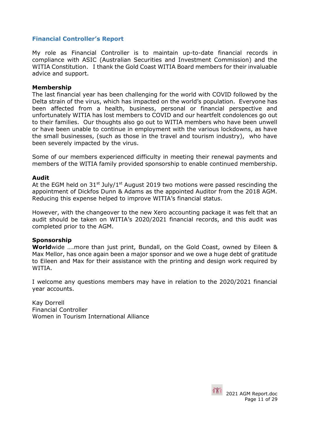## <span id="page-10-0"></span>**Financial Controller's Report**

My role as Financial Controller is to maintain up-to-date financial records in compliance with ASIC (Australian Securities and Investment Commission) and the WITIA Constitution. I thank the Gold Coast WITIA Board members for their invaluable advice and support.

## **Membership**

The last financial year has been challenging for the world with COVID followed by the Delta strain of the virus, which has impacted on the world's population. Everyone has been affected from a health, business, personal or financial perspective and unfortunately WITIA has lost members to COVID and our heartfelt condolences go out to their families. Our thoughts also go out to WITIA members who have been unwell or have been unable to continue in employment with the various lockdowns, as have the small businesses, (such as those in the travel and tourism industry), who have been severely impacted by the virus.

Some of our members experienced difficulty in meeting their renewal payments and members of the WITIA family provided sponsorship to enable continued membership.

#### **Audit**

At the EGM held on  $31^{st}$  July/ $1^{st}$  August 2019 two motions were passed rescinding the appointment of Dickfos Dunn & Adams as the appointed Auditor from the 2018 AGM. Reducing this expense helped to improve WITIA's financial status.

However, with the changeover to the new Xero accounting package it was felt that an audit should be taken on WITIA's 2020/2021 financial records, and this audit was completed prior to the AGM.

## **Sponsorship**

**World**wide ….more than just print, Bundall, on the Gold Coast, owned by Eileen & Max Mellor, has once again been a major sponsor and we owe a huge debt of gratitude to Eileen and Max for their assistance with the printing and design work required by WITIA.

I welcome any questions members may have in relation to the 2020/2021 financial year accounts.

Kay Dorrell Financial Controller Women in Tourism International Alliance

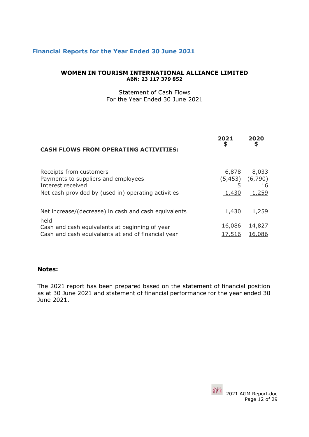## <span id="page-11-0"></span>**Financial Reports for the Year Ended 30 June 2021**

#### **WOMEN IN TOURISM INTERNATIONAL ALLIANCE LIMITED ABN: 23 117 379 852**

Statement of Cash Flows For the Year Ended 30 June 2021

| <b>CASH FLOWS FROM OPERATING ACTIVITIES:</b>                                        | 2021<br>\$    | 2020<br>\$                         |
|-------------------------------------------------------------------------------------|---------------|------------------------------------|
| Receipts from customers<br>Payments to suppliers and employees<br>Interest received | 6,878<br>5    | 8,033<br>$(5,453)$ $(6,790)$<br>16 |
| Net cash provided by (used in) operating activities                                 | 1,430         | 1,259                              |
| Net increase/(decrease) in cash and cash equivalents<br>held                        | 1,430         | 1,259                              |
| Cash and cash equivalents at beginning of year                                      | 16,086        | 14,827                             |
| Cash and cash equivalents at end of financial year                                  | <u>17,516</u> | 16,086                             |

#### **Notes:**

The 2021 report has been prepared based on the statement of financial position as at 30 June 2021 and statement of financial performance for the year ended 30 June 2021.

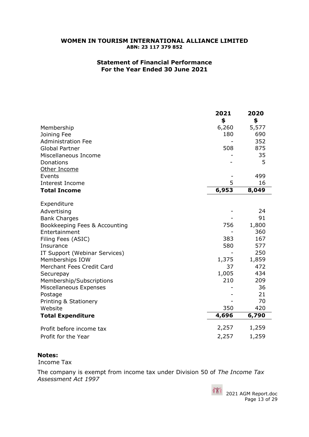#### **Statement of Financial Performance For the Year Ended 30 June 2021**

|                               | 2021<br>\$ | 2020<br>\$ |
|-------------------------------|------------|------------|
| Membership                    | 6,260      | 5,577      |
| Joining Fee                   | 180        | 690        |
| <b>Administration Fee</b>     |            | 352        |
| <b>Global Partner</b>         | 508        | 875        |
| Miscellaneous Income          |            | 35         |
| Donations                     |            | 5          |
| Other Income                  |            |            |
| Events                        |            | 499        |
| <b>Interest Income</b>        | 5          | 16         |
| <b>Total Income</b>           | 6,953      | 8,049      |
| Expenditure                   |            |            |
| Advertising                   |            | 24         |
| <b>Bank Charges</b>           |            | 91         |
| Bookkeeping Fees & Accounting | 756        | 1,800      |
| Entertainment                 |            | 360        |
| Filing Fees (ASIC)            | 383        | 167        |
| Insurance                     | 580        | 577        |
| IT Support (Webinar Services) |            | 250        |
| Memberships IOW               | 1,375      | 1,859      |
| Merchant Fees Credit Card     | 37         | 472        |
| Securepay                     | 1,005      | 434        |
| Membership/Subscriptions      | 210        | 209        |
| Miscellaneous Expenses        |            | 36         |
| Postage                       |            | 21         |
| Printing & Stationery         |            | 70         |
| Website                       | 350        | 420        |
| <b>Total Expenditure</b>      | 4,696      | 6,790      |
| Profit before income tax      | 2,257      | 1,259      |
| Profit for the Year           | 2,257      | 1,259      |

## **Notes:**

Income Tax

The company is exempt from income tax under Division 50 of *The Income Tax Assessment Act 1997*

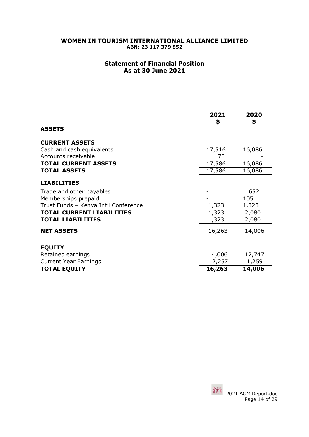## **Statement of Financial Position As at 30 June 2021**

|                                      | 2021<br>\$ | 2020<br>\$ |
|--------------------------------------|------------|------------|
| <b>ASSETS</b>                        |            |            |
| <b>CURRENT ASSETS</b>                |            |            |
| Cash and cash equivalents            | 17,516     | 16,086     |
| Accounts receivable                  | 70         |            |
| <b>TOTAL CURRENT ASSETS</b>          | 17,586     | 16,086     |
| <b>TOTAL ASSETS</b>                  | 17,586     | 16,086     |
| <b>LIABILITIES</b>                   |            |            |
| Trade and other payables             |            | 652        |
| Memberships prepaid                  |            | 105        |
| Trust Funds - Kenya Int'l Conference | 1,323      | 1,323      |
| <b>TOTAL CURRENT LIABILITIES</b>     | 1,323      | 2,080      |
| <b>TOTAL LIABILITIES</b>             | 1,323      | 2,080      |
| <b>NET ASSETS</b>                    | 16,263     | 14,006     |
| <b>EQUITY</b>                        |            |            |
| Retained earnings                    | 14,006     | 12,747     |
| <b>Current Year Earnings</b>         | 2,257      | 1,259      |
| <b>TOTAL EQUITY</b>                  | 16,263     | 14,006     |

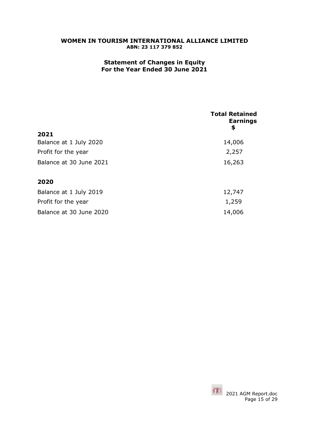## **Statement of Changes in Equity For the Year Ended 30 June 2021**

|                         | <b>Total Retained</b><br><b>Earnings</b><br>Ş |
|-------------------------|-----------------------------------------------|
| 2021                    |                                               |
| Balance at 1 July 2020  | 14,006                                        |
| Profit for the year     | 2,257                                         |
| Balance at 30 June 2021 | 16,263                                        |
| 2020                    |                                               |
| Balance at 1 July 2019  | 12,747                                        |
| Profit for the year     | 1,259                                         |
| Balance at 30 June 2020 | 14,006                                        |

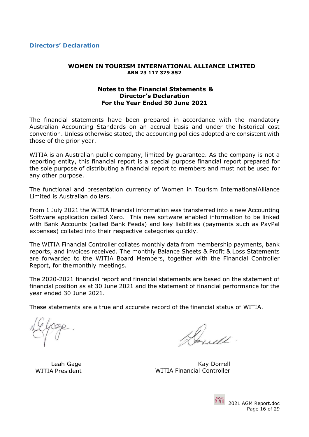<span id="page-15-0"></span>**Directors' Declaration**

#### **WOMEN IN TOURISM INTERNATIONAL ALLIANCE LIMITED ABN 23 117 379 852**

#### **Notes to the Financial Statements & Director's Declaration For the Year Ended 30 June 2021**

The financial statements have been prepared in accordance with the mandatory Australian Accounting Standards on an accrual basis and under the historical cost convention. Unless otherwise stated, the accounting policies adopted are consistent with those of the prior year.

WITIA is an Australian public company, limited by guarantee. As the company is not a reporting entity, this financial report is a special purpose financial report prepared for the sole purpose of distributing a financial report to members and must not be used for any other purpose.

The functional and presentation currency of Women in Tourism International Alliance Limited is Australian dollars.

From 1 July 2021 the WITIA financial information was transferred into a new Accounting Software application called Xero. This new software enabled information to be linked with Bank Accounts (called Bank Feeds) and key liabilities (payments such as PayPal expenses) collated into their respective categories quickly.

The WITIA Financial Controller collates monthly data from membership payments, bank reports, and invoices received. The monthly Balance Sheets & Profit & Loss Statements are forwarded to the WITIA Board Members, together with the Financial Controller Report, for the monthly meetings.

The 2020-2021 financial report and financial statements are based on the statement of financial position as at 30 June 2021 and the statement of financial performance for the year ended 30 June 2021.

These statements are a true and accurate record of the financial status of WITIA.

Leah Gage WITIA President

Kay Dorrell WITIA Financial Controller

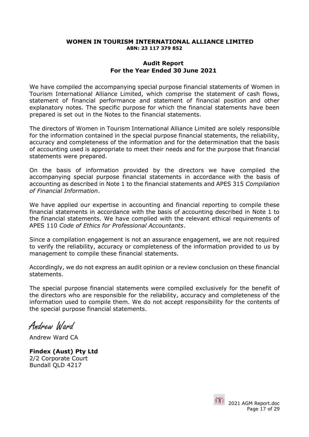#### **Audit Report For the Year Ended 30 June 2021**

We have compiled the accompanying special purpose financial statements of Women in Tourism International Alliance Limited, which comprise the statement of cash flows, statement of financial performance and statement of financial position and other explanatory notes. The specific purpose for which the financial statements have been prepared is set out in the Notes to the financial statements.

The directors of Women in Tourism International Alliance Limited are solely responsible for the information contained in the special purpose financial statements, the reliability, accuracy and completeness of the information and for the determination that the basis of accounting used is appropriate to meet their needs and for the purpose that financial statements were prepared.

On the basis of information provided by the directors we have compiled the accompanying special purpose financial statements in accordance with the basis of accounting as described in Note 1 to the financial statements and APES 315 *Compilation of Financial Information*.

We have applied our expertise in accounting and financial reporting to compile these financial statements in accordance with the basis of accounting described in Note 1 to the financial statements. We have complied with the relevant ethical requirements of APES 110 *Code of Ethics for Professional Accountants*.

Since a compilation engagement is not an assurance engagement, we are not required to verify the reliability, accuracy or completeness of the information provided to us by management to compile these financial statements.

Accordingly, we do not express an audit opinion or a review conclusion on these financial statements.

The special purpose financial statements were compiled exclusively for the benefit of the directors who are responsible for the reliability, accuracy and completeness of the information used to compile them. We do not accept responsibility for the contents of the special purpose financial statements.

Andrew Ward

Andrew Ward CA

**Findex (Aust) Pty Ltd**  2/2 Corporate Court Bundall QLD 4217

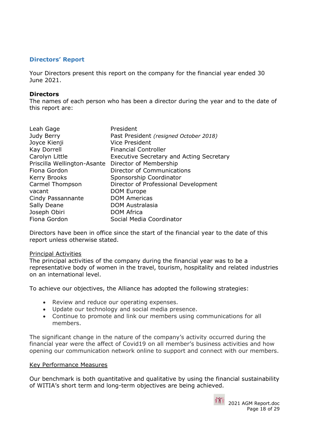## <span id="page-17-0"></span>**Directors' Report**

Your Directors present this report on the company for the financial year ended 30 June 2021.

#### **Directors**

The names of each person who has been a director during the year and to the date of this report are:

| Leah Gage                   | President                                       |
|-----------------------------|-------------------------------------------------|
| Judy Berry                  | Past President (resigned October 2018)          |
| Joyce Kienji                | <b>Vice President</b>                           |
| Kay Dorrell                 | <b>Financial Controller</b>                     |
| Carolyn Little              | <b>Executive Secretary and Acting Secretary</b> |
| Priscilla Wellington-Asante | Director of Membership                          |
| Fiona Gordon                | Director of Communications                      |
| <b>Kerry Brooks</b>         | Sponsorship Coordinator                         |
| Carmel Thompson             | Director of Professional Development            |
| vacant                      | DOM Europe                                      |
| Cindy Passannante           | <b>DOM Americas</b>                             |
| Sally Deane                 | <b>DOM Australasia</b>                          |
| Joseph Obiri                | <b>DOM Africa</b>                               |
| Fiona Gordon                | Social Media Coordinator                        |

Directors have been in office since the start of the financial year to the date of this report unless otherwise stated.

#### Principal Activities

The principal activities of the company during the financial year was to be a representative body of women in the travel, tourism, hospitality and related industries on an international level.

To achieve our objectives, the Alliance has adopted the following strategies:

- Review and reduce our operating expenses.
- Update our technology and social media presence.
- Continue to promote and link our members using communications for all members.

The significant change in the nature of the company's activity occurred during the financial year were the affect of Covid19 on all member's business activities and how opening our communication network online to support and connect with our members.

#### Key Performance Measures

Our benchmark is both quantitative and qualitative by using the financial sustainability of WITIA's short term and long-term objectives are being achieved.



 2021 AGM Report.doc Page 18 of 29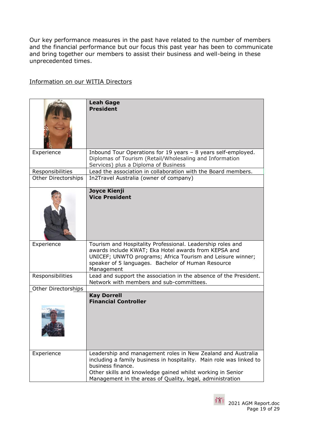Our key performance measures in the past have related to the number of members and the financial performance but our focus this past year has been to communicate and bring together our members to assist their business and well-being in these unprecedented times.

## Information on our WITIA Directors

|                            | <b>Leah Gage</b><br><b>President</b>                                                                                                                                                                                                                                                |
|----------------------------|-------------------------------------------------------------------------------------------------------------------------------------------------------------------------------------------------------------------------------------------------------------------------------------|
| Experience                 | Inbound Tour Operations for 19 years - 8 years self-employed.<br>Diplomas of Tourism (Retail/Wholesaling and Information<br>Services) plus a Diploma of Business                                                                                                                    |
| Responsibilities           | Lead the association in collaboration with the Board members.                                                                                                                                                                                                                       |
| Other Directorships        | In2Travel Australia (owner of company)                                                                                                                                                                                                                                              |
|                            | <b>Joyce Kienji</b><br><b>Vice President</b>                                                                                                                                                                                                                                        |
| Experience                 | Tourism and Hospitality Professional. Leadership roles and<br>awards include KWAT; Eka Hotel awards from KEPSA and<br>UNICEF; UNWTO programs; Africa Tourism and Leisure winner;<br>speaker of 5 languages. Bachelor of Human Resource<br>Management                                |
| Responsibilities           | Lead and support the association in the absence of the President.<br>Network with members and sub-committees.                                                                                                                                                                       |
| <b>Other Directorships</b> |                                                                                                                                                                                                                                                                                     |
|                            | <b>Kay Dorrell</b><br><b>Financial Controller</b>                                                                                                                                                                                                                                   |
| Experience                 | Leadership and management roles in New Zealand and Australia<br>including a family business in hospitality. Main role was linked to<br>business finance.<br>Other skills and knowledge gained whilst working in Senior<br>Management in the areas of Quality, legal, administration |

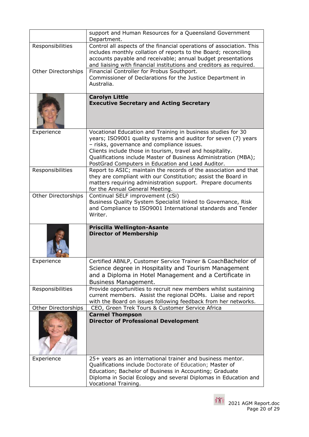|                     | support and Human Resources for a Queensland Government<br>Department.                                                                                                                                                                                                                                                                                            |
|---------------------|-------------------------------------------------------------------------------------------------------------------------------------------------------------------------------------------------------------------------------------------------------------------------------------------------------------------------------------------------------------------|
| Responsibilities    | Control all aspects of the financial operations of association. This<br>includes monthly collation of reports to the Board; reconciling<br>accounts payable and receivable; annual budget presentations<br>and liaising with financial institutions and creditors as required.                                                                                    |
| Other Directorships | Financial Controller for Probus Southport.<br>Commissioner of Declarations for the Justice Department in<br>Australia.                                                                                                                                                                                                                                            |
|                     | <b>Carolyn Little</b><br><b>Executive Secretary and Acting Secretary</b>                                                                                                                                                                                                                                                                                          |
| Experience          | Vocational Education and Training in business studies for 30<br>years; ISO9001 quality systems and auditor for seven (7) years<br>- risks, governance and compliance issues.<br>Clients include those in tourism, travel and hospitality.<br>Qualifications include Master of Business Administration (MBA);<br>PostGrad Computers in Education and Lead Auditor. |
| Responsibilities    | Report to ASIC; maintain the records of the association and that<br>they are compliant with our Constitution; assist the Board in<br>matters requiring administration support. Prepare documents<br>for the Annual General Meeting.                                                                                                                               |
| Other Directorships | Continual SELF improvement (cSi)<br>Business Quality System Specialist linked to Governance, Risk<br>and Compliance to ISO9001 International standards and Tender<br>Writer.                                                                                                                                                                                      |
|                     | <b>Priscilla Wellington-Asante</b><br><b>Director of Membership</b>                                                                                                                                                                                                                                                                                               |
| Experience          | Certified ABNLP, Customer Service Trainer & CoachBachelor of<br>Science degree in Hospitality and Tourism Management<br>and a Diploma in Hotel Management and a Certificate in<br><b>Business Management.</b>                                                                                                                                                     |
| Responsibilities    | Provide opportunities to recruit new members whilst sustaining<br>current members. Assist the regional DOMs. Liaise and report<br>with the Board on issues following feedback from her networks.                                                                                                                                                                  |
| Other Directorships | CEO, Green Trek Tours & Customer Service Africa                                                                                                                                                                                                                                                                                                                   |
|                     | <b>Carmel Thompson</b><br><b>Director of Professional Development</b>                                                                                                                                                                                                                                                                                             |
| Experience          | 25+ years as an international trainer and business mentor.<br>Qualifications include Doctorate of Education; Master of<br>Education; Bachelor of Business in Accounting; Graduate<br>Diploma in Social Ecology and several Diplomas in Education and<br>Vocational Training.                                                                                      |

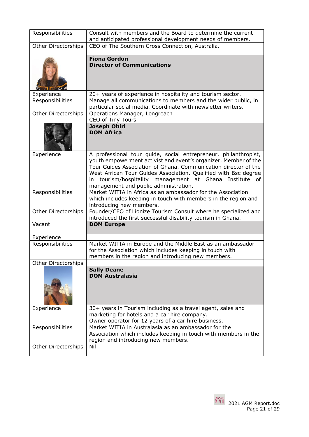| Responsibilities           | Consult with members and the Board to determine the current<br>and anticipated professional development needs of members.                                                                                                                                                                                                                                                       |
|----------------------------|---------------------------------------------------------------------------------------------------------------------------------------------------------------------------------------------------------------------------------------------------------------------------------------------------------------------------------------------------------------------------------|
| <b>Other Directorships</b> | CEO of The Southern Cross Connection, Australia.                                                                                                                                                                                                                                                                                                                                |
|                            |                                                                                                                                                                                                                                                                                                                                                                                 |
|                            | <b>Fiona Gordon</b><br><b>Director of Communications</b>                                                                                                                                                                                                                                                                                                                        |
| Experience                 | 20+ years of experience in hospitality and tourism sector.                                                                                                                                                                                                                                                                                                                      |
| Responsibilities           | Manage all communications to members and the wider public, in<br>particular social media. Coordinate with newsletter writers.                                                                                                                                                                                                                                                   |
| Other Directorships        | Operations Manager, Longreach<br>CEO of Tiny Tours                                                                                                                                                                                                                                                                                                                              |
|                            | <b>Joseph Obiri</b><br><b>DOM Africa</b>                                                                                                                                                                                                                                                                                                                                        |
| Experience                 | A professional tour guide, social entrepreneur, philanthropist,<br>youth empowerment activist and event's organizer. Member of the<br>Tour Guides Association of Ghana. Communication director of the<br>West African Tour Guides Association. Qualified with Bsc degree<br>in tourism/hospitality management at Ghana<br>Institute of<br>management and public administration. |
| Responsibilities           | Market WITIA in Africa as an ambassador for the Association<br>which includes keeping in touch with members in the region and<br>introducing new members.                                                                                                                                                                                                                       |
| <b>Other Directorships</b> | Founder/CEO of Lionize Tourism Consult where he specialized and<br>introduced the first successful disability tourism in Ghana.                                                                                                                                                                                                                                                 |
| Vacant                     | <b>DOM Europe</b>                                                                                                                                                                                                                                                                                                                                                               |
| Experience                 |                                                                                                                                                                                                                                                                                                                                                                                 |
| Responsibilities           | Market WITIA in Europe and the Middle East as an ambassador<br>for the Association which includes keeping in touch with<br>members in the region and introducing new members.                                                                                                                                                                                                   |
| Other Directorships        |                                                                                                                                                                                                                                                                                                                                                                                 |
|                            | <b>Sally Deane</b><br><b>DOM Australasia</b>                                                                                                                                                                                                                                                                                                                                    |
| Experience                 | 30+ years in Tourism including as a travel agent, sales and<br>marketing for hotels and a car hire company.                                                                                                                                                                                                                                                                     |
|                            | Owner operator for 12 years of a car hire business.                                                                                                                                                                                                                                                                                                                             |
| Responsibilities           | Market WITIA in Australasia as an ambassador for the<br>Association which includes keeping in touch with members in the<br>region and introducing new members.                                                                                                                                                                                                                  |
| Other Directorships        | Nil                                                                                                                                                                                                                                                                                                                                                                             |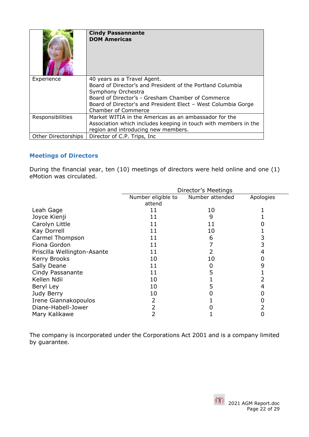|                     | <b>Cindy Passannante</b><br><b>DOM Americas</b>                                                                                                                                                                                                                     |
|---------------------|---------------------------------------------------------------------------------------------------------------------------------------------------------------------------------------------------------------------------------------------------------------------|
| Experience          | 40 years as a Travel Agent.<br>Board of Director's and President of the Portland Columbia<br>Symphony Orchestra<br>Board of Director's - Gresham Chamber of Commerce<br>Board of Director's and President Elect - West Columbia Gorge<br><b>Chamber of Commerce</b> |
| Responsibilities    | Market WITIA in the Americas as an ambassador for the<br>Association which includes keeping in touch with members in the<br>region and introducing new members.                                                                                                     |
| Other Directorships | Director of C.P. Trips, Inc.                                                                                                                                                                                                                                        |

## <span id="page-21-0"></span>**Meetings of Directors**

During the financial year, ten (10) meetings of directors were held online and one (1) eMotion was circulated.

|                             | Director's Meetings |                 |           |
|-----------------------------|---------------------|-----------------|-----------|
|                             | Number eligible to  | Number attended | Apologies |
|                             | attend              |                 |           |
| Leah Gage                   | 11                  | 10              |           |
| Joyce Kienji                | 11                  | 9               |           |
| Carolyn Little              | 11                  | 11              |           |
| Kay Dorrell                 | 11                  | 10              |           |
| Carmel Thompson             | 11                  | 6               | 3         |
| Fiona Gordon                | 11                  |                 | 3         |
| Priscilla Wellington-Asante | 11                  |                 | 4         |
| Kerry Brooks                | 10                  | 10              |           |
| Sally Deane                 | 11                  |                 | 9         |
| Cindy Passanante            | 11                  |                 |           |
| Kellen Ndii                 | 10                  |                 |           |
| Beryl Ley                   | 10                  |                 | 4         |
| Judy Berry                  | 10                  |                 |           |
| Irene Giannakopoulos        |                     |                 |           |
| Diane-Habell-Jower          |                     |                 |           |
| Mary Kalikawe               |                     |                 |           |

The company is incorporated under the Corporations Act 2001 and is a company limited by guarantee.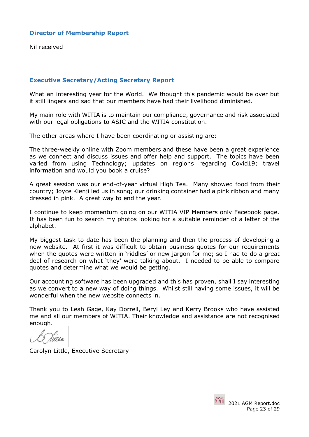## <span id="page-22-0"></span>**Director of Membership Report**

Nil received

## <span id="page-22-1"></span>**Executive Secretary/Acting Secretary Report**

What an interesting year for the World. We thought this pandemic would be over but it still lingers and sad that our members have had their livelihood diminished.

My main role with WITIA is to maintain our compliance, governance and risk associated with our legal obligations to ASIC and the WITIA constitution.

The other areas where I have been coordinating or assisting are:

The three-weekly online with Zoom members and these have been a great experience as we connect and discuss issues and offer help and support. The topics have been varied from using Technology; updates on regions regarding Covid19; travel information and would you book a cruise?

A great session was our end-of-year virtual High Tea. Many showed food from their country; Joyce Kienji led us in song; our drinking container had a pink ribbon and many dressed in pink. A great way to end the year.

I continue to keep momentum going on our WITIA VIP Members only Facebook page. It has been fun to search my photos looking for a suitable reminder of a letter of the alphabet.

My biggest task to date has been the planning and then the process of developing a new website. At first it was difficult to obtain business quotes for our requirements when the quotes were written in 'riddles' or new jargon for me; so I had to do a great deal of research on what 'they' were talking about. I needed to be able to compare quotes and determine what we would be getting.

Our accounting software has been upgraded and this has proven, shall I say interesting as we convert to a new way of doing things. Whilst still having some issues, it will be wonderful when the new website connects in.

Thank you to Leah Gage, Kay Dorrell, Beryl Ley and Kerry Brooks who have assisted me and all our members of WITIA. Their knowledge and assistance are not recognised enough.

Carolyn Little, Executive Secretary

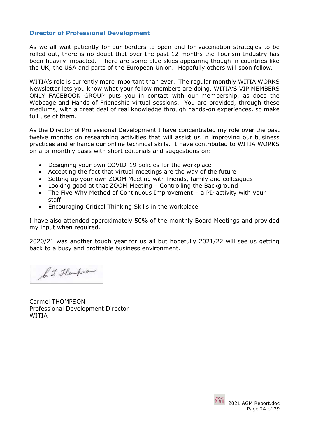## <span id="page-23-0"></span>**Director of Professional Development**

As we all wait patiently for our borders to open and for vaccination strategies to be rolled out, there is no doubt that over the past 12 months the Tourism Industry has been heavily impacted. There are some blue skies appearing though in countries like the UK, the USA and parts of the European Union. Hopefully others will soon follow.

WITIA's role is currently more important than ever. The regular monthly WITIA WORKS Newsletter lets you know what your fellow members are doing. WITIA'S VIP MEMBERS ONLY FACEBOOK GROUP puts you in contact with our membership, as does the Webpage and Hands of Friendship virtual sessions. You are provided, through these mediums, with a great deal of real knowledge through hands-on experiences, so make full use of them.

As the Director of Professional Development I have concentrated my role over the past twelve months on researching activities that will assist us in improving our business practices and enhance our online technical skills. I have contributed to WITIA WORKS on a bi-monthly basis with short editorials and suggestions on:

- Designing your own COVID-19 policies for the workplace
- Accepting the fact that virtual meetings are the way of the future
- Setting up your own ZOOM Meeting with friends, family and colleagues
- Looking good at that ZOOM Meeting Controlling the Background
- The Five Why Method of Continuous Improvement a PD activity with your staff
- Encouraging Critical Thinking Skills in the workplace

I have also attended approximately 50% of the monthly Board Meetings and provided my input when required.

2020/21 was another tough year for us all but hopefully 2021/22 will see us getting back to a busy and profitable business environment.

b. J. Thompson

Carmel THOMPSON Professional Development Director WITIA

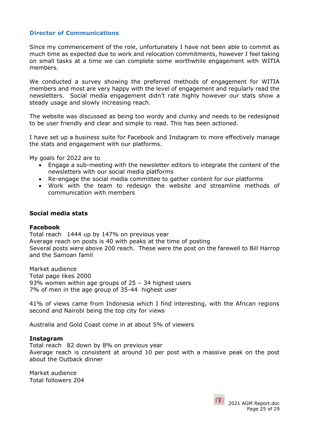## <span id="page-24-0"></span>**Director of Communications**

Since my commencement of the role, unfortunately I have not been able to commit as much time as expected due to work and relocation commitments, however I feel taking on small tasks at a time we can complete some worthwhile engagement with WITIA members.

We conducted a survey showing the preferred methods of engagement for WITIA members and most are very happy with the level of engagement and regularly read the newsletters. Social media engagement didn't rate highly however our stats show a steady usage and slowly increasing reach.

The website was discussed as being too wordy and clunky and needs to be redesigned to be user friendly and clear and simple to read. This has been actioned.

I have set up a business suite for Facebook and Instagram to more effectively manage the stats and engagement with our platforms.

My goals for 2022 are to

- Engage a sub-meeting with the newsletter editors to integrate the content of the newsletters with our social media platforms
- Re-engage the social media committee to gather content for our platforms
- Work with the team to redesign the website and streamline methods of communication with members

## **Social media stats**

#### **Facebook**

Total reach 1444 up by 147% on previous year Average reach on posts is 40 with peaks at the time of posting Several posts were above 200 reach. These were the post on the farewell to Bill Harrop and the Samoan famil

Market audience Total page likes 2000 93% women within age groups of 25 – 34 highest users 7% of men in the age group of 35-44 highest user

41% of views came from Indonesia which I find interesting, with the African regions second and Nairobi being the top city for views

Australia and Gold Coast come in at about 5% of viewers

#### **Instagram**

Total reach 82 down by 8% on previous year Average reach is consistent at around 10 per post with a massive peak on the post about the Outback dinner

Market audience Total followers 204

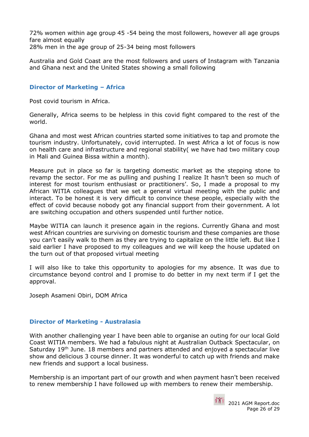72% women within age group 45 -54 being the most followers, however all age groups fare almost equally 28% men in the age group of 25-34 being most followers

Australia and Gold Coast are the most followers and users of Instagram with Tanzania and Ghana next and the United States showing a small following

## <span id="page-25-0"></span>**Director of Marketing – Africa**

Post covid tourism in Africa.

Generally, Africa seems to be helpless in this covid fight compared to the rest of the world.

Ghana and most west African countries started some initiatives to tap and promote the tourism industry. Unfortunately, covid interrupted. In west Africa a lot of focus is now on health care and infrastructure and regional stability( we have had two military coup in Mali and Guinea Bissa within a month).

Measure put in place so far is targeting domestic market as the stepping stone to revamp the sector. For me as pulling and pushing I realize It hasn't been so much of interest for most tourism enthusiast or practitioners'. So, I made a proposal to my African WITIA colleagues that we set a general virtual meeting with the public and interact. To be honest it is very difficult to convince these people, especially with the effect of covid because nobody got any financial support from their government. A lot are switching occupation and others suspended until further notice.

Maybe WITIA can launch it presence again in the regions. Currently Ghana and most west African countries are surviving on domestic tourism and these companies are those you can't easily walk to them as they are trying to capitalize on the little left. But like I said earlier I have proposed to my colleagues and we will keep the house updated on the turn out of that proposed virtual meeting

I will also like to take this opportunity to apologies for my absence. It was due to circumstance beyond control and I promise to do better in my next term if I get the approval.

Joseph Asameni Obiri, DOM Africa

## <span id="page-25-1"></span>**Director of Marketing - Australasia**

With another challenging year I have been able to organise an outing for our local Gold Coast WITIA members. We had a fabulous night at Australian Outback Spectacular, on Saturday 19<sup>th</sup> June. 18 members and partners attended and enjoyed a spectacular live show and delicious 3 course dinner. It was wonderful to catch up with friends and make new friends and support a local business.

Membership is an important part of our growth and when payment hasn't been received to renew membership I have followed up with members to renew their membership.

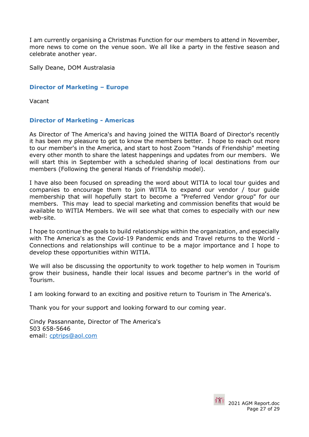I am currently organising a Christmas Function for our members to attend in November, more news to come on the venue soon. We all like a party in the festive season and celebrate another year.

<span id="page-26-0"></span>Sally Deane, DOM Australasia

## **Director of Marketing – Europe**

<span id="page-26-1"></span>Vacant

## **Director of Marketing - Americas**

As Director of The America's and having joined the WITIA Board of Director's recently it has been my pleasure to get to know the members better. I hope to reach out more to our member's in the America, and start to host Zoom "Hands of Friendship" meeting every other month to share the latest happenings and updates from our members. We will start this in September with a scheduled sharing of local destinations from our members (Following the general Hands of Friendship model).

I have also been focused on spreading the word about WITIA to local tour guides and companies to encourage them to join WITIA to expand our vendor / tour guide membership that will hopefully start to become a "Preferred Vendor group" for our members. This may lead to special marketing and commission benefits that would be available to WITIA Members. We will see what that comes to especially with our new web-site.

I hope to continue the goals to build relationships within the organization, and especially with The America's as the Covid-19 Pandemic ends and Travel returns to the World - Connections and relationships will continue to be a major importance and I hope to develop these opportunities within WITIA.

We will also be discussing the opportunity to work together to help women in Tourism grow their business, handle their local issues and become partner's in the world of Tourism.

I am looking forward to an exciting and positive return to Tourism in The America's.

Thank you for your support and looking forward to our coming year.

Cindy Passannante, Director of The America's 503 658-5646 email: cptrips@aol.com

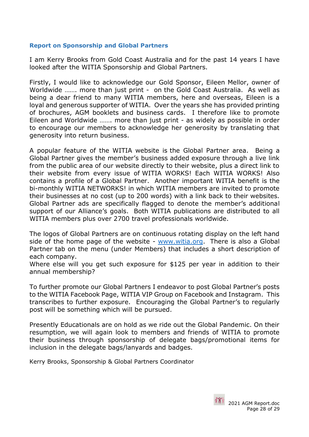## <span id="page-27-0"></span>**Report on Sponsorship and Global Partners**

I am Kerry Brooks from Gold Coast Australia and for the past 14 years I have looked after the WITIA Sponsorship and Global Partners.

Firstly, I would like to acknowledge our Gold Sponsor, Eileen Mellor, owner of Worldwide ....... more than just print - on the Gold Coast Australia. As well as being a dear friend to many WITIA members, here and overseas, Eileen is a loyal and generous supporter of WITIA. Over the years she has provided printing of brochures, AGM booklets and business cards. I therefore like to promote Eileen and Worldwide ……. more than just print - as widely as possible in order to encourage our members to acknowledge her generosity by translating that generosity into return business.

A popular feature of the WITIA website is the Global Partner area. Being a Global Partner gives the member's business added exposure through a live link from the public area of our website directly to their website, plus a direct link to their website from every issue of WITIA WORKS! Each WITIA WORKS! Also contains a profile of a Global Partner. Another important WITIA benefit is the bi-monthly WITIA NETWORKS! in which WITIA members are invited to promote their businesses at no cost (up to 200 words) with a link back to their websites. Global Partner ads are specifically flagged to denote the member's additional support of our Alliance's goals. Both WITIA publications are distributed to all WITIA members plus over 2700 travel professionals worldwide.

The logos of Global Partners are on continuous rotating display on the left hand side of the home page of the website - www.witia.org. There is also a Global Partner tab on the menu (under Members) that includes a short description of each company.

Where else will you get such exposure for \$125 per year in addition to their annual membership?

To further promote our Global Partners I endeavor to post Global Partner's posts to the WITIA Facebook Page, WITIA VIP Group on Facebook and Instagram. This transcribes to further exposure. Encouraging the Global Partner's to regularly post will be something which will be pursued.

Presently Educationals are on hold as we ride out the Global Pandemic. On their resumption, we will again look to members and friends of WITIA to promote their business through sponsorship of delegate bags/promotional items for inclusion in the delegate bags/lanyards and badges.

Kerry Brooks, Sponsorship & Global Partners Coordinator